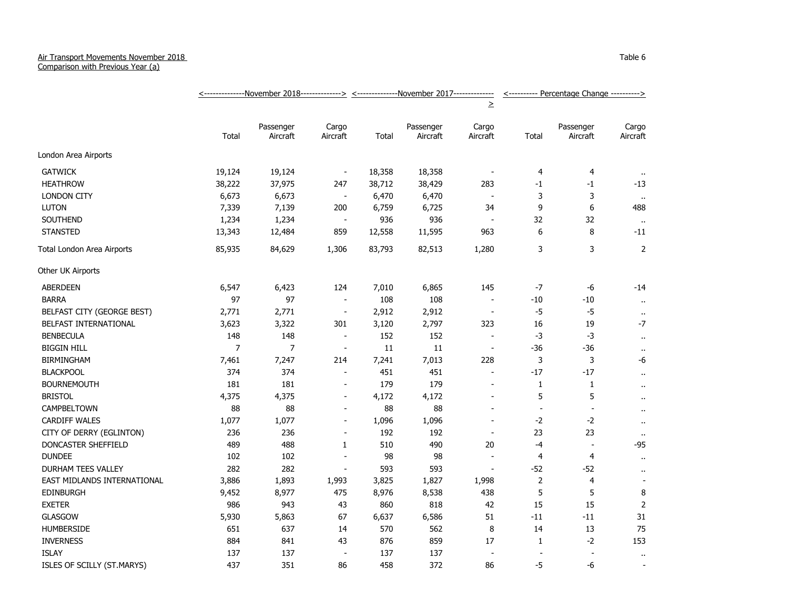## Air Transport Movements November 2018

Comparison with Previous Year (a)

|                             |                |                       |                          |        | <---------------November 2018--------------> <--------------November 2017------------- |                          |                          | <---------- Percentage Change ----------> |                      |  |
|-----------------------------|----------------|-----------------------|--------------------------|--------|----------------------------------------------------------------------------------------|--------------------------|--------------------------|-------------------------------------------|----------------------|--|
|                             |                |                       |                          |        |                                                                                        | $\geq$                   |                          |                                           |                      |  |
|                             | Total          | Passenger<br>Aircraft | Cargo<br>Aircraft        | Total  | Passenger<br>Aircraft                                                                  | Cargo<br>Aircraft        | Total                    | Passenger<br>Aircraft                     | Cargo<br>Aircraft    |  |
| London Area Airports        |                |                       |                          |        |                                                                                        |                          |                          |                                           |                      |  |
| <b>GATWICK</b>              | 19,124         | 19,124                | $\overline{\phantom{a}}$ | 18,358 | 18,358                                                                                 |                          | 4                        | 4                                         |                      |  |
| <b>HEATHROW</b>             | 38,222         | 37,975                | 247                      | 38,712 | 38,429                                                                                 | 283                      | $-1$                     | -1                                        | $-13$                |  |
| <b>LONDON CITY</b>          | 6,673          | 6,673                 | $\overline{\phantom{a}}$ | 6,470  | 6,470                                                                                  | $\overline{\phantom{a}}$ | 3                        | 3                                         | $\alpha$             |  |
| <b>LUTON</b>                | 7,339          | 7,139                 | 200                      | 6,759  | 6,725                                                                                  | 34                       | 9                        | 6                                         | 488                  |  |
| <b>SOUTHEND</b>             | 1,234          | 1,234                 | $\blacksquare$           | 936    | 936                                                                                    | $\overline{\phantom{a}}$ | 32                       | 32                                        | $\alpha$             |  |
| <b>STANSTED</b>             | 13,343         | 12,484                | 859                      | 12,558 | 11,595                                                                                 | 963                      | 6                        | 8                                         | $-11$                |  |
| Total London Area Airports  | 85,935         | 84,629                | 1,306                    | 83,793 | 82,513                                                                                 | 1,280                    | 3                        | 3                                         | 2                    |  |
| Other UK Airports           |                |                       |                          |        |                                                                                        |                          |                          |                                           |                      |  |
| <b>ABERDEEN</b>             | 6,547          | 6,423                 | 124                      | 7,010  | 6,865                                                                                  | 145                      | $-7$                     | -6                                        | $-14$                |  |
| <b>BARRA</b>                | 97             | 97                    | $\blacksquare$           | 108    | 108                                                                                    | $\overline{\phantom{a}}$ | $-10$                    | $-10$                                     | $\bullet$ .          |  |
| BELFAST CITY (GEORGE BEST)  | 2,771          | 2,771                 | $\overline{\phantom{a}}$ | 2,912  | 2,912                                                                                  | $\blacksquare$           | $-5$                     | $-5$                                      | $\ddot{\phantom{1}}$ |  |
| BELFAST INTERNATIONAL       | 3,623          | 3,322                 | 301                      | 3,120  | 2,797                                                                                  | 323                      | 16                       | 19                                        | $-7$                 |  |
| <b>BENBECULA</b>            | 148            | 148                   | $\blacksquare$           | 152    | 152                                                                                    |                          | $-3$                     | $-3$                                      | $\mathbf{u}$         |  |
| <b>BIGGIN HILL</b>          | $\overline{7}$ | $\overline{7}$        | $\blacksquare$           | 11     | 11                                                                                     | $\overline{\phantom{a}}$ | $-36$                    | $-36$                                     | $\bullet$ .          |  |
| <b>BIRMINGHAM</b>           | 7,461          | 7,247                 | 214                      | 7,241  | 7,013                                                                                  | 228                      | 3                        | 3                                         | $-6$                 |  |
| <b>BLACKPOOL</b>            | 374            | 374                   | $\sim$                   | 451    | 451                                                                                    | $\sim$                   | $-17$                    | $-17$                                     | $\ddot{\phantom{1}}$ |  |
| <b>BOURNEMOUTH</b>          | 181            | 181                   | $\overline{\phantom{a}}$ | 179    | 179                                                                                    | $\sim$                   | 1                        | $\mathbf{1}$                              | $\ddot{\phantom{a}}$ |  |
| <b>BRISTOL</b>              | 4,375          | 4,375                 | $\blacksquare$           | 4,172  | 4,172                                                                                  | $\blacksquare$           | 5                        | 5                                         | $\ddot{\phantom{a}}$ |  |
| CAMPBELTOWN                 | 88             | 88                    | $\overline{a}$           | 88     | 88                                                                                     |                          | $\overline{\phantom{a}}$ | $\overline{\phantom{a}}$                  | $\ddot{\phantom{1}}$ |  |
| <b>CARDIFF WALES</b>        | 1,077          | 1,077                 | $\blacksquare$           | 1,096  | 1,096                                                                                  |                          | $-2$                     | $-2$                                      | $\cdot$ .            |  |
| CITY OF DERRY (EGLINTON)    | 236            | 236                   | $\blacksquare$           | 192    | 192                                                                                    | $\overline{\phantom{a}}$ | 23                       | 23                                        | $\sim$               |  |
| DONCASTER SHEFFIELD         | 489            | 488                   | $\mathbf{1}$             | 510    | 490                                                                                    | 20                       | $-4$                     | $\blacksquare$                            | -95                  |  |
| <b>DUNDEE</b>               | 102            | 102                   | $\blacksquare$           | 98     | 98                                                                                     |                          | 4                        | 4                                         | $\bullet$ .          |  |
| DURHAM TEES VALLEY          | 282            | 282                   | $\blacksquare$           | 593    | 593                                                                                    | $\overline{a}$           | $-52$                    | $-52$                                     | $\cdot$ .            |  |
| EAST MIDLANDS INTERNATIONAL | 3,886          | 1,893                 | 1,993                    | 3,825  | 1,827                                                                                  | 1,998                    | $\overline{2}$           | $\overline{4}$                            |                      |  |
| <b>EDINBURGH</b>            | 9,452          | 8,977                 | 475                      | 8,976  | 8,538                                                                                  | 438                      | 5                        | 5                                         | 8                    |  |
| <b>EXETER</b>               | 986            | 943                   | 43                       | 860    | 818                                                                                    | 42                       | 15                       | 15                                        | 2                    |  |
| <b>GLASGOW</b>              | 5,930          | 5,863                 | 67                       | 6,637  | 6,586                                                                                  | 51                       | $-11$                    | $-11$                                     | 31                   |  |
| <b>HUMBERSIDE</b>           | 651            | 637                   | 14                       | 570    | 562                                                                                    | 8                        | 14                       | 13                                        | 75                   |  |
| <b>INVERNESS</b>            | 884            | 841                   | 43                       | 876    | 859                                                                                    | 17                       | $\mathbf{1}$             | $-2$                                      | 153                  |  |
| <b>ISLAY</b>                | 137            | 137                   | $\blacksquare$           | 137    | 137                                                                                    |                          | $\overline{a}$           | $\overline{\phantom{a}}$                  | $\ddot{\phantom{1}}$ |  |
| ISLES OF SCILLY (ST.MARYS)  | 437            | 351                   | 86                       | 458    | 372                                                                                    | 86                       | $-5$                     | -6                                        | $\sim$               |  |